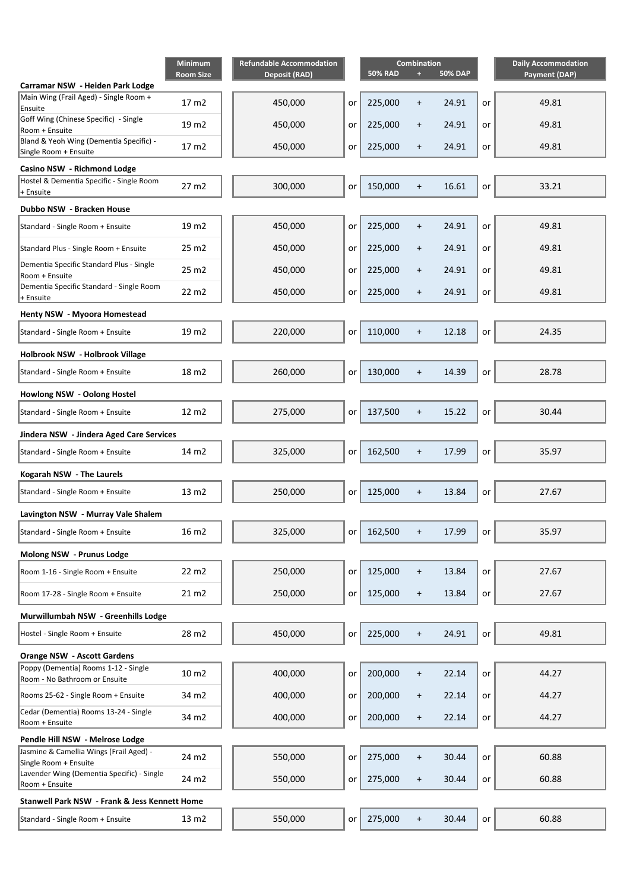|                                                                                   | Minimum<br><b>Room Size</b> | <b>Refundable Accommodation</b><br><b>Deposit (RAD)</b> |    | <b>50% RAD</b> | <b>Combination</b><br>æ | <b>50% DAP</b> |    | <b>Daily Accommodation</b><br><b>Payment (DAP)</b> |
|-----------------------------------------------------------------------------------|-----------------------------|---------------------------------------------------------|----|----------------|-------------------------|----------------|----|----------------------------------------------------|
| Carramar NSW - Heiden Park Lodge                                                  |                             |                                                         |    |                |                         |                |    |                                                    |
| Main Wing (Frail Aged) - Single Room +<br>Ensuite                                 | 17 m2                       | 450,000                                                 | or | 225,000        | $\ddot{}$               | 24.91          | or | 49.81                                              |
| Goff Wing (Chinese Specific) - Single<br>Room + Ensuite                           | 19 m2                       | 450,000                                                 | or | 225,000        | $\ddot{}$               | 24.91          | or | 49.81                                              |
| Bland & Yeoh Wing (Dementia Specific) -<br>Single Room + Ensuite                  | 17 m2                       | 450,000                                                 | or | 225,000        | $\ddot{}$               | 24.91          | or | 49.81                                              |
| Casino NSW - Richmond Lodge                                                       |                             |                                                         |    |                |                         |                |    |                                                    |
| Hostel & Dementia Specific - Single Room<br>+ Ensuite                             | 27 m2                       | 300,000                                                 | or | 150,000        | $\ddot{}$               | 16.61          | or | 33.21                                              |
| Dubbo NSW - Bracken House                                                         |                             |                                                         |    |                |                         |                |    |                                                    |
|                                                                                   |                             |                                                         |    |                |                         | 24.91          |    | 49.81                                              |
| Standard - Single Room + Ensuite                                                  | 19 m2                       | 450,000                                                 | or | 225,000        | $\ddot{}$               |                | or |                                                    |
| Standard Plus - Single Room + Ensuite<br>Dementia Specific Standard Plus - Single | 25 m2                       | 450,000                                                 | or | 225,000        | $\ddot{}$               | 24.91          | or | 49.81                                              |
| Room + Ensuite                                                                    | 25 m2                       | 450,000                                                 | or | 225,000        | $\ddot{}$               | 24.91          | or | 49.81                                              |
| Dementia Specific Standard - Single Room<br>+ Ensuite                             | 22 m2                       | 450,000                                                 | or | 225,000        | $\ddot{}$               | 24.91          | or | 49.81                                              |
| Henty NSW - Myoora Homestead                                                      |                             |                                                         |    |                |                         |                |    |                                                    |
| Standard - Single Room + Ensuite                                                  | 19 m2                       | 220,000                                                 | or | 110,000        | $\ddot{}$               | 12.18          | or | 24.35                                              |
| Holbrook NSW - Holbrook Village                                                   |                             |                                                         |    |                |                         |                |    |                                                    |
| Standard - Single Room + Ensuite                                                  | 18 m2                       | 260,000                                                 | or | 130,000        | $+$                     | 14.39          | or | 28.78                                              |
| Howlong NSW - Oolong Hostel                                                       |                             |                                                         |    |                |                         |                |    |                                                    |
| Standard - Single Room + Ensuite                                                  | 12 m2                       | 275,000                                                 | or | 137,500        | $\ddot{}$               | 15.22          | or | 30.44                                              |
| Jindera NSW - Jindera Aged Care Services                                          |                             |                                                         |    |                |                         |                |    |                                                    |
| Standard - Single Room + Ensuite                                                  | 14 m2                       | 325,000                                                 | or | 162,500        | $\ddot{}$               | 17.99          | or | 35.97                                              |
| Kogarah NSW - The Laurels                                                         |                             |                                                         |    |                |                         |                |    |                                                    |
| Standard - Single Room + Ensuite                                                  | 13 m2                       | 250,000                                                 | or | 125,000        | $\ddot{}$               | 13.84          | or | 27.67                                              |
| Lavington NSW - Murray Vale Shalem                                                |                             |                                                         |    |                |                         |                |    |                                                    |
| Standard - Single Room + Ensuite                                                  | 16 m2                       | 325,000                                                 | or | 162,500        |                         | 17.99          | or | 35.97                                              |
| Molong NSW - Prunus Lodge                                                         |                             |                                                         |    |                |                         |                |    |                                                    |
| Room 1-16 - Single Room + Ensuite                                                 | 22 m2                       | 250,000                                                 | or | 125,000        | $\ddot{}$               | 13.84          | or | 27.67                                              |
| Room 17-28 - Single Room + Ensuite                                                | 21 m2                       | 250,000                                                 | or | 125,000        | $+$                     | 13.84          | or | 27.67                                              |
| Murwillumbah NSW - Greenhills Lodge                                               |                             |                                                         |    |                |                         |                |    |                                                    |
| Hostel - Single Room + Ensuite                                                    | 28 m2                       | 450,000                                                 | or | 225,000        | $+$                     | 24.91          | or | 49.81                                              |
| <b>Orange NSW - Ascott Gardens</b>                                                |                             |                                                         |    |                |                         |                |    |                                                    |
| Poppy (Dementia) Rooms 1-12 - Single<br>Room - No Bathroom or Ensuite             | 10 m2                       | 400,000                                                 | or | 200,000        | $\ddot{}$               | 22.14          | or | 44.27                                              |
| Rooms 25-62 - Single Room + Ensuite                                               | 34 m2                       | 400,000                                                 | or | 200,000        | $\ddot{}$               | 22.14          | or | 44.27                                              |
| Cedar (Dementia) Rooms 13-24 - Single<br>Room + Ensuite                           | 34 m2                       | 400,000                                                 | or | 200,000        | $+$                     | 22.14          | or | 44.27                                              |
| Pendle Hill NSW - Melrose Lodge                                                   |                             |                                                         |    |                |                         |                |    |                                                    |
| Jasmine & Camellia Wings (Frail Aged) -<br>Single Room + Ensuite                  | 24 m2                       | 550,000                                                 | or | 275,000        | $\ddot{}$               | 30.44          | or | 60.88                                              |
| Lavender Wing (Dementia Specific) - Single<br>Room + Ensuite                      | 24 m2                       | 550,000                                                 | or | 275,000        | $\ddot{}$               | 30.44          | or | 60.88                                              |
| Stanwell Park NSW - Frank & Jess Kennett Home                                     |                             |                                                         |    |                |                         |                |    |                                                    |
| Standard - Single Room + Ensuite                                                  | 13 m2                       | 550,000                                                 | or | 275,000        | $\ddot{}$               | 30.44          | or | 60.88                                              |
|                                                                                   |                             |                                                         |    |                |                         |                |    |                                                    |